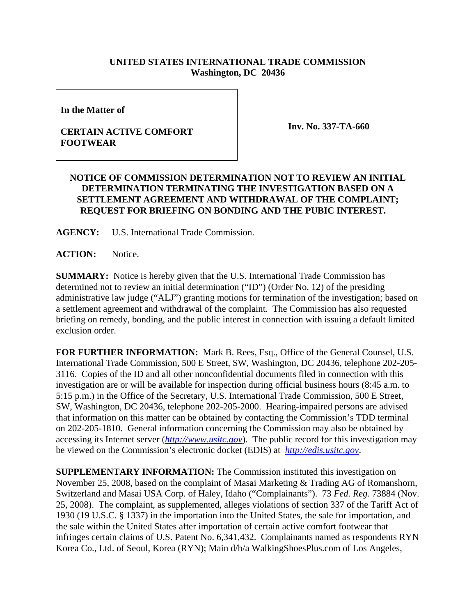## **UNITED STATES INTERNATIONAL TRADE COMMISSION Washington, DC 20436**

**In the Matter of**

## **CERTAIN ACTIVE COMFORT FOOTWEAR**

**Inv. No. 337-TA-660**

## **NOTICE OF COMMISSION DETERMINATION NOT TO REVIEW AN INITIAL DETERMINATION TERMINATING THE INVESTIGATION BASED ON A SETTLEMENT AGREEMENT AND WITHDRAWAL OF THE COMPLAINT; REQUEST FOR BRIEFING ON BONDING AND THE PUBIC INTEREST.**

**AGENCY:** U.S. International Trade Commission.

**ACTION:** Notice.

**SUMMARY:** Notice is hereby given that the U.S. International Trade Commission has determined not to review an initial determination ("ID") (Order No. 12) of the presiding administrative law judge ("ALJ") granting motions for termination of the investigation; based on a settlement agreement and withdrawal of the complaint. The Commission has also requested briefing on remedy, bonding, and the public interest in connection with issuing a default limited exclusion order.

**FOR FURTHER INFORMATION:** Mark B. Rees, Esq., Office of the General Counsel, U.S. International Trade Commission, 500 E Street, SW, Washington, DC 20436, telephone 202-205- 3116. Copies of the ID and all other nonconfidential documents filed in connection with this investigation are or will be available for inspection during official business hours (8:45 a.m. to 5:15 p.m.) in the Office of the Secretary, U.S. International Trade Commission, 500 E Street, SW, Washington, DC 20436, telephone 202-205-2000. Hearing-impaired persons are advised that information on this matter can be obtained by contacting the Commission's TDD terminal on 202-205-1810. General information concerning the Commission may also be obtained by accessing its Internet server (*http://www.usitc.gov*). The public record for this investigation may be viewed on the Commission's electronic docket (EDIS) at *http://edis.usitc.gov*.

**SUPPLEMENTARY INFORMATION:** The Commission instituted this investigation on November 25, 2008, based on the complaint of Masai Marketing & Trading AG of Romanshorn, Switzerland and Masai USA Corp. of Haley, Idaho ("Complainants"). 73 *Fed. Reg.* 73884 (Nov. 25, 2008). The complaint, as supplemented, alleges violations of section 337 of the Tariff Act of 1930 (19 U.S.C. § 1337) in the importation into the United States, the sale for importation, and the sale within the United States after importation of certain active comfort footwear that infringes certain claims of U.S. Patent No. 6,341,432. Complainants named as respondents RYN Korea Co., Ltd. of Seoul, Korea (RYN); Main d/b/a WalkingShoesPlus.com of Los Angeles,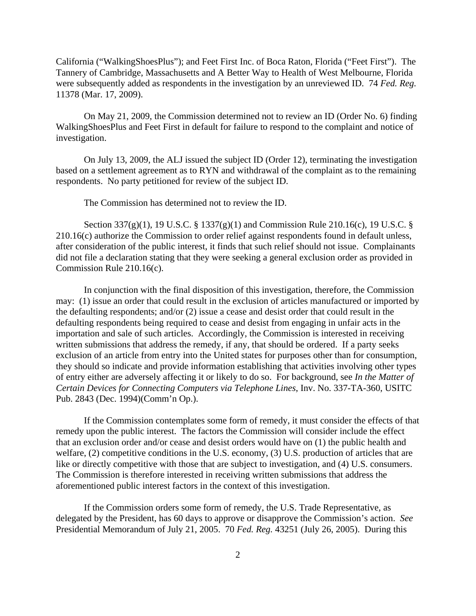California ("WalkingShoesPlus"); and Feet First Inc. of Boca Raton, Florida ("Feet First"). The Tannery of Cambridge, Massachusetts and A Better Way to Health of West Melbourne, Florida were subsequently added as respondents in the investigation by an unreviewed ID. 74 *Fed. Reg.* 11378 (Mar. 17, 2009).

On May 21, 2009, the Commission determined not to review an ID (Order No. 6) finding WalkingShoesPlus and Feet First in default for failure to respond to the complaint and notice of investigation.

On July 13, 2009, the ALJ issued the subject ID (Order 12), terminating the investigation based on a settlement agreement as to RYN and withdrawal of the complaint as to the remaining respondents. No party petitioned for review of the subject ID.

The Commission has determined not to review the ID.

Section 337(g)(1), 19 U.S.C. § 1337(g)(1) and Commission Rule 210.16(c), 19 U.S.C. § 210.16(c) authorize the Commission to order relief against respondents found in default unless, after consideration of the public interest, it finds that such relief should not issue. Complainants did not file a declaration stating that they were seeking a general exclusion order as provided in Commission Rule 210.16(c).

In conjunction with the final disposition of this investigation, therefore, the Commission may: (1) issue an order that could result in the exclusion of articles manufactured or imported by the defaulting respondents; and/or (2) issue a cease and desist order that could result in the defaulting respondents being required to cease and desist from engaging in unfair acts in the importation and sale of such articles. Accordingly, the Commission is interested in receiving written submissions that address the remedy, if any, that should be ordered. If a party seeks exclusion of an article from entry into the United states for purposes other than for consumption, they should so indicate and provide information establishing that activities involving other types of entry either are adversely affecting it or likely to do so. For background, see *In the Matter of Certain Devices for Connecting Computers via Telephone Lines*, Inv. No. 337-TA-360, USITC Pub. 2843 (Dec. 1994)(Comm'n Op.).

If the Commission contemplates some form of remedy, it must consider the effects of that remedy upon the public interest. The factors the Commission will consider include the effect that an exclusion order and/or cease and desist orders would have on (1) the public health and welfare, (2) competitive conditions in the U.S. economy, (3) U.S. production of articles that are like or directly competitive with those that are subject to investigation, and (4) U.S. consumers. The Commission is therefore interested in receiving written submissions that address the aforementioned public interest factors in the context of this investigation.

If the Commission orders some form of remedy, the U.S. Trade Representative, as delegated by the President, has 60 days to approve or disapprove the Commission's action. *See* Presidential Memorandum of July 21, 2005. 70 *Fed. Reg.* 43251 (July 26, 2005). During this